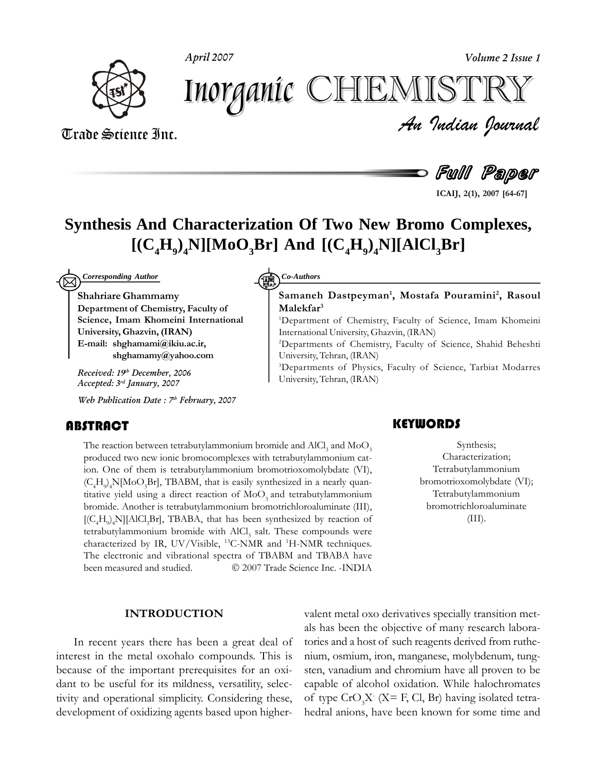**April 2007 Volume 2 Issue 1**



*Volume 2 Issue 1*<br>ISTRY<br>Indian Iournal Inorganic CHEMISTF

Trade Science Inc. Trade Science Inc.

Full Paper

**2(1), <sup>2007</sup> [64-67]**

**2,**

## **Synthesis And Characterization Of Two New Bromo Complexes,**  $[ (C_4H_9)_4N] [MoO_3Br]$  **And**  $[ (C_4H_9)_4N] [AlCl_3Br]$

**Shahriare** *Corresponding Author* **Co-Authors Co-Authors** 

) *Corresponding Author*<br>Shahriare Ghammamv  $\mathbf{\hat{S}}$  **Chammamy**<br>Department of Chemistry, Faculty of **IMARE IMARY EXECUTE: IMAGE SCIENCE, Imam Khomeini International<br>
<b>University, Ghazvin, (IRAN) E-mail: shghamami@ikiu.ac.ir, [shghamamy@yahoo.com](mailto:E-mial:shghamami@ikiu.ac.ir,)**

**th December, 2006 Accepted: 3 rd January, 2007**

**Web Publication Date : 7 th February, 2007**

### **ABSTRACT**

**HBSTRACT**<br>The reaction between tetrabutylammonium bromide and  $AICI_3$  and  $MoO_3$ <br>produced two new ionic bromocomplexes with tetrabutylammonium cat-<br>ion. One of them is tetrabutylammonium bromotrioxomolybdate (VI), on between tetrabutylammonium bromide and  $AICl_3$  and  $MoO_3$ <br>two new ionic bromocomplexes with tetrabutylammonium catis produced two new ionic bromocomplexes with tetrabutylammonium cation. One of them is tetrabutylammonium bromotrioxomolybdate (VI), 4. One of them is tetrabutylammonium bromotrioxomolybdate (VI), H  $\geq$  N[MoO Br], TBABM, that is easily synthesized in a nearly quan- $(C_4H_9)_4N[MoO_3Br]$ , TBABM, that is easily synthesized in a nearly quantitative yield using a direct reaction of  $MoO_3$  and tetrabutylammonium titative yield using a direct reaction of  $\text{MoO}_3$  and tetrabutylammonium bromide. Another is tetrabutylammonium bromotrichloroaluminate (III), 4.4H9) Another is tetrabutylammonium bromotrichloroaluminate (III),<br>H. NI[AlCl.Br], TBABA, that has been synthesized by reaction of  $[(C_4H_9)_4N][AICl_3Br]$ , TBABA, that has been<br>tetrabutylammonium bromide with AlCl sal  $[(C_4H_9)_4N][AICl_3Br]$ , TBABA, that has been synthesized by reaction of tetrabutylammonium bromide with AlCl<sub>3</sub> salt. These compounds were characterized by IR, UV/Visible, <sup>13</sup>C-NMR and <sup>1</sup>H-NMR techniques. characterized by IR, UV/Visible, <sup>13</sup>C-NMR and <sup>1</sup>H-NMR techniques.<br>The electronic and vibrational spectra of TBABM and TBABA have been measured and studied.  $\bigcirc$  2007 Trade Science Inc. -INDIA

### Co-Authors

### <sup>2</sup> Co-Authors<br>Samaneh Dastpeyman<sup>1</sup>, Mostafa Pouramini<sup>2</sup>, Rasoul Malekfar<sup>3</sup>

**1,**

Malekfar<sup>3</sup><br><sup>1</sup>Department of Chemistry, Faculty of Science, Imam Khomeini<br>International University, Ghazvin, (IRAN) International University, Ghazvin, (IRAN)

International University, Ghazvin, (IRAN)<br><sup>2</sup>Departments of Chemistry, Faculty of Science, Shahid Beheshti<br>University, Tehran, (IRAN) University, Tehran, (IRAN) University, Tehran, (IRAN)<br>
<sup>3</sup>Departments of Physics. Faculty of Science. Tarbiat Modarres

Received: 19<sup>th</sup> December, 2006<br>
<sup>3</sup>Departments of Physics, Facebook and Maria 2007

### Synthesis;

Synthesis;<br>Synthesis;<br>Characterization;<br>Tetrabutylammoniu Synthesis; Characterization; Tetrabutylammonium<br>motrioxomolybdate (VI): Tetrabutylammonium bromotrichloroaluminate  $(III).$ 

### **INTRODUCTION**

als h<br>In recent years there has been a great deal of torie<br>interest in the metal oxohalo compounds. This is nium interest in the metal oxohalo compounds. This is niu<br>because of the important prerequisites for an oxi- ster because of the important prerequisites for an oxithe time of the team of the consideration and the useful for its mildness, versatility, selectors is the virtual simplicity. Considering these, or or  $\frac{1}{2}$ tivity and operational simplicity. Considering these, development of oxidizing agents based upon higher-

valent metal oxo derivatives specially transition metent metal oxo derivatives specially transition methas been the objective of many research laboraals has been the objective of many research labora-<br>tories and a host of such reagents derived from ruthetories and a host of such reagents derived from ruthenium, osmium, iron, manganese, molybdenum, tung- $\frac{1}{2}$  sten, vanadium and chromium have all proven to be capable of alcohol oxidation. While halochromates capable of alcohol oxidation. While halochromates<br>of type  $Cr(X = F, Cl, Br)$  having isolated tetraof type  $CrO_3X$  (X= F, Cl, Br) having isolated tetra-<br>hedral anions, have been known for some time and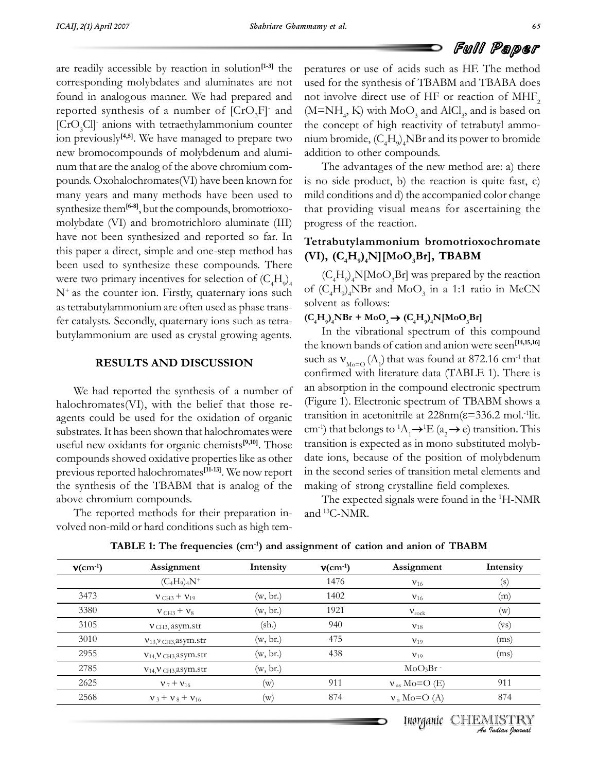peratures

are readily accessible by reaction in solution<sup>[1-3]</sup> the per for the presence of presence of the presence of the corresponding molybdates and aluminates are not used for found in analogous manner. We had prepared and not inv Free reported synthesis of a number of [CrO<sub>3</sub>F] and and<br>and reported [ $CrO<sub>3</sub>Cl$ ] anions with tetraethylammonium counter the component the component of the component of the state of prepare two nium b synthesis of a number of  $[CrO<sub>3</sub>F]$  and (M-<br>anions with tetraethylammonium counter the  $\frac{1}{3}$  is  $\frac{1}{3}$  in previously<sup>[4,5]</sup>. We have managed to prepare two num-<br>new bromocompounds of molybdenum and aluminew bromocompounds of molybdenum and aluminum that are the analog of the above chromium compounds. Oxohalochromates (VI) have been known for is no s<br>many years and many methods have been used to mild co many years and many methods have been used to mil<br>synthesize them<sup>[6-8]</sup>, but the compounds, bromotrioxo- tha synthesize them<sup> $[6-8]$ </sup>, but the compounds, bromotrioxo-<br>molybdate (VI) and bromotrichloro aluminate (III) progress of the reaction. molybdate (VI) and bromotrichloro aluminate (III) progress<br>have not been synthesized and reported so far. In have not been synthesized and reported so far. In  $\begin{bmatrix} 1 & 1 \\ 1 & 1 \end{bmatrix}$ been used to synthesize these compounds. There were the contract of the contract of the contract of the contract of the been used to synthesize these compounds. There been used to synthesize these compounds. There<br>were two primary incentives for selection of  $(C<sub>H</sub>)$ ) were two primary incentives for selection of  $(C_4H_9)_4$   $(C_4$ <br>N<sup>+</sup> as the counter ion. Firstly, quaternary ions such of  $(C_4H_9)_4$  $N^+$  as the counter ion. Firstly, quaternary ions such of<br>as tetrabutylammonium are often used as phase transas tetrabutylammonium are often used as phase transfer catalysts. Secondly, quaternary ions such as tetrabutylammonium are used as crystal growing agents.

#### **RESULTS AND DISCUSSION**

con<br>
We had reported the synthesis of a number of an a<br>
halochromates(VI), with the belief that those rehalochromates (VI), with the belief that those reransemblance  $(Y)$ , which are benefit and drose to the asset and drose the state as applied of the oxidation of organic transis substrates. It has been shown that halochromates were  $\text{cm}^{-1}$ ) substrates. It has been shown that halochromat substrates. It has been shown that halochromates were cm<sup>-1</sup>)<br>useful new oxidants for organic chemists<sup>[9,10]</sup>. Those transicompounds showed oxidative properties like as other date compounds showed oxidative properties like as other date<br>previous reported halochromates<sup>[11-13]</sup>. We now report in t previous reported halochromates<sup>[11-13]</sup>. We now report in the synthesis of the TBABM that is analog of the making previous reported indocurrenties<br>the synthesis of the TBABM tha<br>above chromium compounds. reported methods for their preparation in-<br>The reported methods for their preparation in-

e reported methods for their preparation in-<br>non-mild or hard conditions such as high temvolved non-mild or hard conditions such as high tem-

**FUILL Paper**<br>
peratures or use of acids such as HF. The method<br>
used for the synthesis of TBABM and TBABA does not involve direct use of HF or reaction of MHF<sub>2</sub><br>(M=NH<sub>4</sub>, K) with MoO<sub>3</sub> and AlCl<sub>3</sub>, and is based on<br>the concept of high reactivity of tetrabutyl ammonot involve direct use of HF or reaction of MHF. not involve direct use of HF or reaction of  $MHF_2$ <br>(M=NH, K) with MoO, and AlCl, and is based on  $\frac{4}{3}$ <br>bromide, (CH) NBr and its power to bromide mium bromide,  $(C_4H_9)_4$ NBr and its addition to other compounds. to other compounds.<br>advantages of the new method are: a) there addition to other compounds.

The advantages of the new method are: a) there no side product, b) the reaction is quite fast, c) is no side product, b) the reaction is quite fast, c)  $mild$  conditions and d) the accompanied color change  $t_1$  and  $t_2$  is a supposed contracted visual means for ascertaining the that providing visual mean<br>progress of the reaction.

## **bromotrioxochromate (VI), (C4H9) 4N][MoO3Br], TBABM** ),  $(C_4H_9)_4N$ ][MoC [**MoO<sub>3</sub>Br], TBABM**<br>oO.Br] was prepared by the reaction

of  $(C_4H_9)_4$ NBr and Me<br>solvent as follows:  $(C_4H_9)_4N[Moo_3Br]$  was prepared by the reaction<br>(C H) NBr and MoO, in a 1:1 ratio in MeCN  $\mathbf{S} \times \mathbf{S} \times \mathbf{H} \times \mathbf{H}$ **t**  $\left(\frac{L_4 H_9}{4} \right)$  and MOO<sub>3</sub> in a 1:1 rate of as follows:<br> **H<sub>9</sub>**<sub>4</sub>**NBr** + **MoO<sub>3</sub>**  $\rightarrow$  **(C<sub>4</sub>H<sub>9</sub>**)<sub>4</sub>**N**[MoO<sub>3</sub>Br]

# $NBr + MoO<sub>3</sub> \rightarrow (C<sub>4</sub>H<sub>9</sub>)<sub>4</sub>N[MoO<sub>3</sub>Br]$ <br>the vibrational spectrum of this compound

 $\frac{1}{2}$ In the vibrational spectrum of this compound<br>known bands of cation and anion were seen<sup>[14,15,16]</sup> in the vibrational spectrum of this compound<br>nown bands of cation and anion were seen<sup>[14,15,16]</sup><br>as V<sub>12</sub> (A) that was found at 872.16 cm<sup>-1</sup> that the known bands of cation and anion were seen<sup>[14,15,16]</sup><br>such as  $V_{\text{max}}$  (A) that was found at 872.16 cm<sup>-1</sup> that such as  $V_{M_0=0}$  (A<sub>1</sub>) that was found at 872.16 cm<sup>-1</sup> that confirmed with literature data (TABLE 1). There is confirmed with literature data (TABLE 1). There is<br>an absorption in the compound electronic spectrum an absorption in the compound electronic spectrum<br>(Figure 1). Electronic spectrum of TBABM shows a t<br>(Figure 1) ion in the compound electronic spectrum<br>Electronic spectrum of TBABM shows a<br>in acetonitrile at  $228nm(\epsilon=336.2 \text{ mol.}^{-1})$ pectrum of TBABM shows a<br>e at 228nm( $\varepsilon$ =336.2 mol.<sup>-1</sup>lit. transition in acetonitrile at 228nm( $\varepsilon$ =336.2 mol.<sup>-1</sup>lit.<br>cm<sup>-1</sup>) that belongs to <sup>1</sup>A  $\rightarrow$ <sup>1</sup>E (a  $\rightarrow$  e) transition. This cm<sup>-1</sup>) that belongs to <sup>1</sup>A<sub>1</sub> $\rightarrow$ <sup>1</sup>E (a<sub>2</sub> $\rightarrow$  e) transition. This transition is expected as in mono substituted molvbtransition is expected as in mono substituted molybdate ions, because of the position of molybdenum<br>in the second series of transition metal elements and making of strong crystalline field complexes. of strong crystalline field complexes.<br>expected signals were found in the <sup>1</sup>H-NMR

andand <sup>13</sup>C-NMR. The expected signals were found in the <sup>1</sup>H-NMR

| $v$ (cm <sup>-1</sup> ) | Assignment                              | Intensity      | $v$ (cm <sup>-1</sup> ) | Assignment          | Intensity |
|-------------------------|-----------------------------------------|----------------|-------------------------|---------------------|-----------|
|                         | $(C_4H_9)_4N^+$                         |                | 1476                    | $V_{16}$            | (s)       |
| 3473                    | $V$ CH <sub>3</sub> + $V$ <sub>19</sub> | (w, br.)       | 1402                    | $V_{16}$            | (m)       |
| 3380                    | $v_{\text{CH3}} + v_8$                  | (w, br.)       | 1921                    | $V_{rock}$          | (w)       |
| 3105                    | $V$ CH <sub>3</sub> , asym.str          | (sh.)          | 940                     | $V_{18}$            | (vs)      |
| 3010                    | $V_{13}$ , $V_{CH3}$ , asym.str         | (w, br.)       | 475                     | $V_{19}$            | (ms)      |
| 2955                    | $V_{14}$ , $V_{CH3}$ , asym.str         | (w, br.)       | 438                     | $V_{19}$            | (ms)      |
| 2785                    | $V_{14}$ , $V_{CH3}$ asym.str           | (w, br.)       |                         | MoO <sub>3</sub> Br |           |
| 2625                    | $v_7 + v_{16}$                          | (w)            | 911                     | $v_{as}$ Mo=O (E)   | 911       |
| 2568                    | $v_3 + v_8 + v_{16}$                    | $(\mathrm{w})$ | 874                     | $v_a$ Mo=O (A)      | 874       |

**1: The frequencies (cm-1) and assignment of cation and anion of TBABM**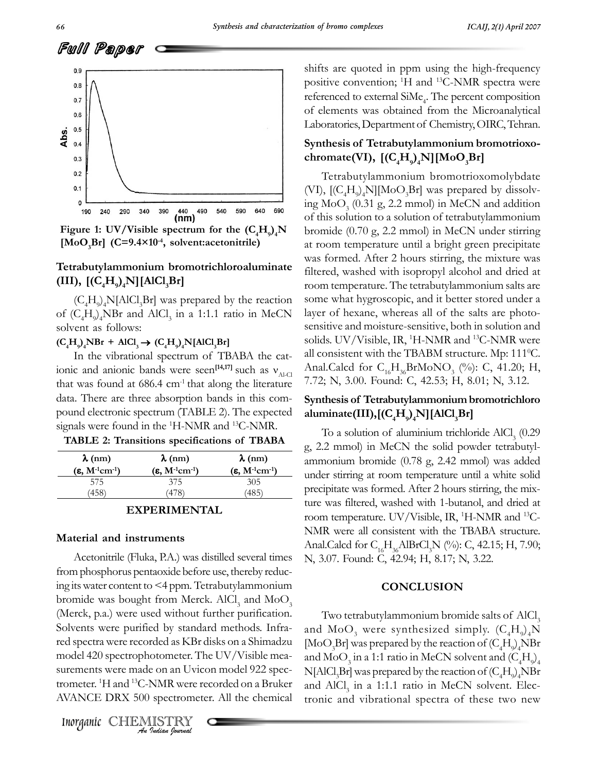shifts



[**MOO<sub>3</sub>Dr**] (C-9.4×10, SON **1: III UV/Visible spectrum** for the  $(C_4H_9)^4$ **N**<br> **IMoO** Brl  $(C=9.4\times10^{-4}$ , solvent:acetonitrile)

## **example 11**  $\mathbf{c} = \mathbf{b}$  at room<br>Tetrabutylammonium bromotrichloroaluminate was formulate the example of the example of the example of the example of the example of the example of the example of the example of the exam  $[(C_4H_9)_4N][Al($  $N[\text{AlCl}_3\text{Br}]$  room to<br>Cl, Br] was prepared by the reaction some v

 $(C_4H_9)_4N[AlCl_3Br]$  was prepared by the reaction some what l<br>  $(C_4H_3)NBr$  and AlCl. in a 1:1.1 ratio in MeCN layer of hex of  $(C_4H_9)_4$ NBr and Ale<br>solvent as follows:  $\mathbf{S} \times \mathbf{S} \times \mathbf{H} \times \mathbf{H}$  $\mathbf{H}_{\mathbf{Q}}\mathbf{H}_{\mathbf{Q}}\mathbf{H}_{\mathbf{Q}}\mathbf{H}$  **<b>AlCl**<sub>3</sub> **In** a 1:1.1 **r**<sub>2</sub><br> **C**<sub>4</sub>**H**<sub>9</sub><sub>*a*</sub>**NBr** + **AlCl**<sub>3</sub> → **(C**<sub>4</sub>**H**<sub>9</sub><sub>*a*</sub>**N**[AlCl<sub>3</sub>Br]

# $NBr + AICI<sub>3</sub> \rightarrow (C<sub>4</sub>H<sub>9</sub>)<sub>4</sub>N[AICI<sub>3</sub>Br]$  so seed the vibrational spectrum of TBABA the cat-

 $\frac{1}{\sqrt{1}}$ the vibrational spectrum of TBABA<br>and anionic bands were seen<sup>[14,17]</sup> such **[14,17]**ABA the cat-<br>such as  $v_{\text{max}}$ that was found at 686.4 cm<sup>-1</sup> that along the literature 7.72; that was found at  $686.4 \text{ cm}^{-1}$  that along the literature 7.7.<br>data. There are three absorption bands in this comdata. There are three absorption bands in this command electronic spectrum (TABLE 2). The expectionals were found in the <sup>1</sup>H-NMR and <sup>13</sup>C-NMR.  $\mathbf{F} \mathbf{R} \mathbf{R} \mathbf{R} \mathbf{R} \mathbf{R} \mathbf{R} \mathbf{R} \mathbf{R} \mathbf{R} \mathbf{R} \mathbf{R} \mathbf{R} \mathbf{R} \mathbf{R} \mathbf{R} \mathbf{R} \mathbf{R} \mathbf{R} \mathbf{R} \mathbf{R} \mathbf{R} \mathbf{R} \mathbf{R} \mathbf{R} \mathbf{R} \mathbf{R} \mathbf{R} \mathbf{R} \mathbf{R} \mathbf{R} \mathbf{R} \mathbf{R} \mathbf{R} \mathbf{R} \mathbf{R} \mathbf{$ **TABLE 2: Transitions specifications of TBABA**

| <b>TABLE 2: Transitions specifications of TBABA</b> |  |  |  |
|-----------------------------------------------------|--|--|--|
|-----------------------------------------------------|--|--|--|

| $\lambda$ (nm)              | $\lambda$ (nm)              | $\lambda$ (nm)              |  |
|-----------------------------|-----------------------------|-----------------------------|--|
| $(\epsilon, M^{-1}cm^{-1})$ | $(\epsilon, M^{-1}cm^{-1})$ | $(\epsilon, M^{-1}cm^{-1})$ |  |
| 575                         | 375                         | 305                         |  |
| 458                         | 478                         | 485`                        |  |

# terial and instruments

 $\sum_{i=1}^{n}$ *Indian Journal* **Indian**<br>
Indian *I Indian Indian*<br>
Internet is were made on an Uvicon model 922<br>
Internet is the state of the CHEMISTRY<br> *Interganic* CHEMISTRY Material and instruments<br>Anal<br>Acetonitrile (Fluka, P.A.) was distilled several times N, 3<br>from phosphorus pentaoxide before use, thereby reducfrom phosphorus pentaoxide before use, thereby reduc-<br>ing its water content to <4 ppm. Tetrabutylammonium bromide was bought from Merck. AlCl3<br>bromide was bought from Merck. AlCl3 ing its water content to  $\leq 4$  ppm. Tetrabutylammonium<br>bromide was bought from Merck. AlCl<sub>3</sub> and MoO<sub>3</sub><br>(Merck, p.a.) were used without further purification. (Merck, p.a.) were used without further purification. Solvents were purified by standard methods. Infrared spectra were recorded as KBr disks on a Shimadzu [Me]<br>model 420 spectrophotometer. The UV/Visible meamodel 420 spectrophotometer. The UV/Visible measurements were made on an Uvicon model 922 spec-  $N[f]$ <br>trometer. <sup>1</sup>H and <sup>13</sup>C-NMR were recorded on a Bruker trometer.<sup>1</sup>H and <sup>13</sup>C-NMR were recorded on a Bruker and AVANCE DRX 500 spectrometer. All the chemical tr

shifts are quoted in ppm using the high-frequency<br>positive convention: <sup>1</sup>H and <sup>13</sup>C-NMR spectra were percent percent referenced to external SiMe. The percent composition  $\text{referenced to external SiMe}_4$ . The percent composition<br>of elements was obtained from the Microanalytical of elements was obtained from the Microanalytical<br>Laboratories, Department of Chemistry, OIRC, Tehran. Laboratories, Department of Chemistry, OIRC, Tehran.

### **[(C4H9) 4N][MoO3Br]**chromate(VI),  $[(C<sub>A</sub>H<sub>o</sub>)<sub>A</sub>N][MoO<sub>3</sub>Br]$

7.72; N, 3.00. Found: C, 42.53; H, 8.01; N, 3.12.<br>**Synthesis of Tetrabutylammonium bromotrichloro** chromate(VI),  $[(C_4H_9)_4N][MoO_3Br]$ <br>Tetrabutylammonium bromotrioxomolybdate<br>(VI),  $[(C_4H_3)_4N][MoO_3Br]$  was prepared by dissolv-(VI),  $[(C_4H_9)_4N][MoO_3Br]$  was prepared by dissolving MoO<sub>3</sub> (0.31 g, 2.2 mmol) in MeCN and addition of this solution to a solution of tetrabutylammonium<br>of this solution to a solution of tetrabutylammonium browing the  $\sigma_3$  (see Fig. 2.2 mmol) in Hecal can add addedness of this solution to a solution of tetrabutylammonium<br>bromide (0.70 g, 2.2 mmol) in MeCN under stirring bromide (0.70 g, 2.2 mmol) in MeCN under stirring<br>at room temperature until a bright green precipitate stomale (end g, 22 hours) in the strainer dating<br>at room temperature until a bright green precipitate<br>was formed. After 2 hours stirring, the mixture was was formed. After 2 hours stirring, the mixture was<br>filtered, washed with isopropyl alcohol and dried at room temperature. The tetrabutylammonium salts are<br>room temperature. The tetrabutylammonium salts are mercu, washed with hoppepyr aboute and after a<br>room temperature. The tetrabutylammonium salts are<br>some what hygroscopic, and it better stored under a layer of hexane, whereas all of the salts are photo-<br>layer of hexane, whereas all of the salts are photolayer of hexane, whereas all of the salts are photosensitive and moisture-sensitive, both in solution and<br>solids. UV/Visible, IR, <sup>1</sup>H-NMR and <sup>13</sup>C-NMR were solids. UV/Visible, IR, <sup>1</sup>H-NMR and <sup>13</sup>C-NMR were<br>all consistent with the TBABM structure. Mp: 111<sup>0</sup>C. Sonas. S.V. Visible, H., 11 Februaries S. Finne were<br>all consistent with the TBABM structure. Mp: 111<sup>o</sup>C.<br>Anal.Calcd for C. H. BrMoNO. (%): C. 41.20: H. all consistent with the TBABM structure. Mp: 111<sup>o</sup>C.<br>Anal.Calcd for C<sub>16</sub>H<sub>36</sub>BrMoNO<sub>3</sub> (%): C, 41.20; H, Anal.Calcd for C<sub>16</sub>H<sub>36</sub>BrMoNO<sub>3</sub> (%): C, 41.20; H,<br>7.72; N, 3.00. Found: C, 42.53; H, 8.01; N, 3.12.

### $\frac{1}{2}$   $\frac{1}{2}$   $\frac{1}{2}$   $\frac{1}{2}$   $\frac{1}{2}$   $\frac{1}{2}$   $\frac{1}{2}$   $\frac{1}{2}$   $\frac{1}{2}$   $\frac{1}{2}$   $\frac{1}{2}$   $\frac{1}{2}$   $\frac{1}{2}$   $\frac{1}{2}$   $\frac{1}{2}$   $\frac{1}{2}$   $\frac{1}{2}$   $\frac{1}{2}$   $\frac{1}{2}$   $\frac{1}{2}$   $\frac{1}{2}$   $\frac{1}{2}$   $\$ ninate(III),[( $\mathrm{C_4H_0}$ )<sub>a</sub>N][Al **ate(III),[(C<sub>4</sub>H<sub>9</sub>)<sub>4</sub>N][AlCl<sub>3</sub>Br]**<br>a solution of aluminium trichloride AlCl<sub>3</sub> (0.29

To a solution of aluminium trichloride  $AICI_3$  (0.29  $\alpha$ , 2.2 mmol) in MeCN the solid powder tetrabutylg, 2.2 mmol) in MeCN the solid powder tetrabutylordination<br>ammonium bromide (0.78 g, 2.42 mmol) was added<br>under stirring at room temperature until a white solid under stirring at room temperature until a white solid<br>precipitate was formed. After 2 hours stirring, the mixprecipitate was formed. After 2 hours stirring, the mix-<br>ture was filtered, washed with 1-butanol, and dried at ture was filtered, washed with 1-butanol, and dried at<br>room temperature. UV/Visible, IR, <sup>1</sup>H-NMR and <sup>13</sup>C-From temperature. UV/Visible, IR, <sup>1</sup>H-NMR and <sup>13</sup>C-<br>NMR were all consistent with the TBABA structure. NMR were all consistent with the TBABA structure. Anal.Calcd for  $C_{16}H_{36}$ AlBrCl<sub>3</sub>N (%): C, 42.15; H<br>N. 3.07. Found: C, 42.94: H, 8.17; N, 3.22. N, 3.07. Found: C, 42.94; H, 8.17; N, 3.22.

### **CONCLUSION**

tetrabutylammonium bromide salts of AlCl. wo tetrabutylammonium bromide salts of AlCl<sub>3</sub><br>MoO, were synthesized simply. (C.H.) N Two tetrabutylammonium bromide salts of AlCl<sub>3</sub><br>and MoO<sub>3</sub> were synthesized simply.  $(C_4H_9)_4N$ <br>MoO.Brl was prepared by the reaction of (C, H) NBr [MoO<sub>3</sub>Br] was prepared by the reaction of  $(C_4H_9)_4$  NBr<br>and MoO, in a 1:1 ratio in MeCN solvent and (C.H.) and MoO<sub>3</sub> in a 1:1 ratio in MeCN solvent and  $(C_4H_9)_4$ <br>NIAICl Brl was prepared by the reaction of (C H) NBr  $N[AlCl<sub>3</sub>Br]$  was prepared by the reaction of  $(C_4H_9)_4$ NBr<br>and AlCl. in a 1:1.1 ratio in MeCN solvent. Elecand AlCl<sub>3</sub> in a 1:1.1 ratio in MeCN solvent. Electronic and vibrational spectra of these two new